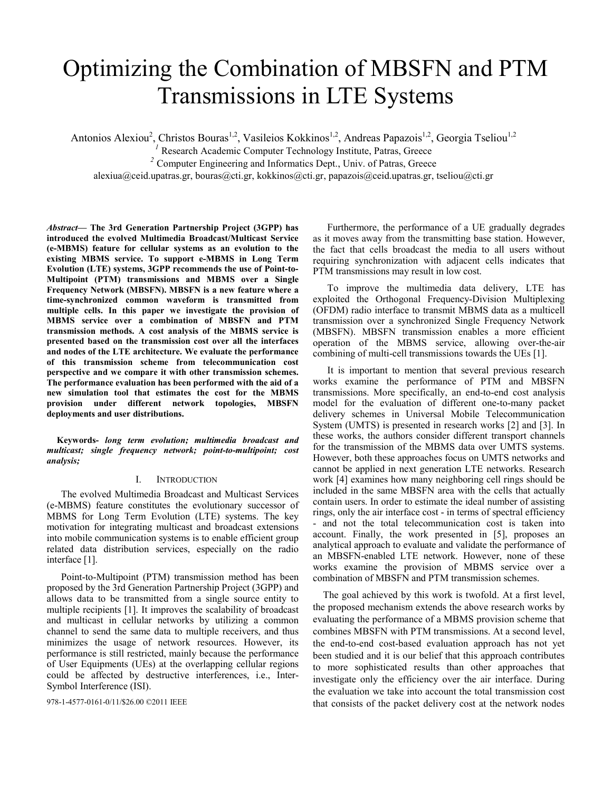# Optimizing the Combination of MBSFN and PTM Transmissions in LTE Systems

Antonios Alexiou<sup>2</sup>, Christos Bouras<sup>1,2</sup>, Vasileios Kokkinos<sup>1,2</sup>, Andreas Papazois<sup>1,2</sup>, Georgia Tseliou<sup>1,2</sup>

<sup>*1*</sup> Research Academic Computer Technology Institute, Patras, Greece

*<sup>2</sup>* Computer Engineering and Informatics Dept., Univ. of Patras, Greece

alexiua@ceid.upatras.gr, bouras@cti.gr, kokkinos@cti.gr, papazois@ceid.upatras.gr, tseliou@cti.gr

*Abstract***— The 3rd Generation Partnership Project (3GPP) has introduced the evolved Multimedia Broadcast/Multicast Service (e-MBMS) feature for cellular systems as an evolution to the existing MBMS service. To support e-MBMS in Long Term Evolution (LTE) systems, 3GPP recommends the use of Point-to-Multipoint (PTM) transmissions and MBMS over a Single Frequency Network (MBSFN). MBSFN is a new feature where a time-synchronized common waveform is transmitted from multiple cells. In this paper we investigate the provision of MBMS service over a combination of MBSFN and PTM transmission methods. A cost analysis of the MBMS service is presented based on the transmission cost over all the interfaces and nodes of the LTE architecture. We evaluate the performance of this transmission scheme from telecommunication cost perspective and we compare it with other transmission schemes. The performance evaluation has been performed with the aid of a new simulation tool that estimates the cost for the MBMS provision under different network topologies, MBSFN deployments and user distributions.** 

**Keywords-** *long term evolution; multimedia broadcast and multicast; single frequency network; point-to-multipoint; cost analysis;* 

## I. INTRODUCTION

The evolved Multimedia Broadcast and Multicast Services (e-MBMS) feature constitutes the evolutionary successor of MBMS for Long Term Evolution (LTE) systems. The key motivation for integrating multicast and broadcast extensions into mobile communication systems is to enable efficient group related data distribution services, especially on the radio interface [1].

Point-to-Multipoint (PTM) transmission method has been proposed by the 3rd Generation Partnership Project (3GPP) and allows data to be transmitted from a single source entity to multiple recipients [1]. It improves the scalability of broadcast and multicast in cellular networks by utilizing a common channel to send the same data to multiple receivers, and thus minimizes the usage of network resources. However, its performance is still restricted, mainly because the performance of User Equipments (UEs) at the overlapping cellular regions could be affected by destructive interferences, i.e., Inter-Symbol Interference (ISI).

978-1-4577-0161-0/11/\$26.00 ©2011 IEEE

Furthermore, the performance of a UE gradually degrades as it moves away from the transmitting base station. However, the fact that cells broadcast the media to all users without requiring synchronization with adjacent cells indicates that PTM transmissions may result in low cost.

To improve the multimedia data delivery, LTE has exploited the Orthogonal Frequency-Division Multiplexing (OFDM) radio interface to transmit MBMS data as a multicell transmission over a synchronized Single Frequency Network (MBSFN). MBSFN transmission enables a more efficient operation of the MBMS service, allowing over-the-air combining of multi-cell transmissions towards the UEs [1].

It is important to mention that several previous research works examine the performance of PTM and MBSFN transmissions. More specifically, an end-to-end cost analysis model for the evaluation of different one-to-many packet delivery schemes in Universal Mobile Telecommunication System (UMTS) is presented in research works [2] and [3]. In these works, the authors consider different transport channels for the transmission of the MBMS data over UMTS systems. However, both these approaches focus on UMTS networks and cannot be applied in next generation LTE networks. Research work [4] examines how many neighboring cell rings should be included in the same MBSFN area with the cells that actually contain users. In order to estimate the ideal number of assisting rings, only the air interface cost - in terms of spectral efficiency - and not the total telecommunication cost is taken into account. Finally, the work presented in [5], proposes an analytical approach to evaluate and validate the performance of an MBSFN-enabled LTE network. However, none of these works examine the provision of MBMS service over a combination of MBSFN and PTM transmission schemes.

The goal achieved by this work is twofold. At a first level, the proposed mechanism extends the above research works by evaluating the performance of a MBMS provision scheme that combines MBSFN with PTM transmissions. At a second level, the end-to-end cost-based evaluation approach has not yet been studied and it is our belief that this approach contributes to more sophisticated results than other approaches that investigate only the efficiency over the air interface. During the evaluation we take into account the total transmission cost that consists of the packet delivery cost at the network nodes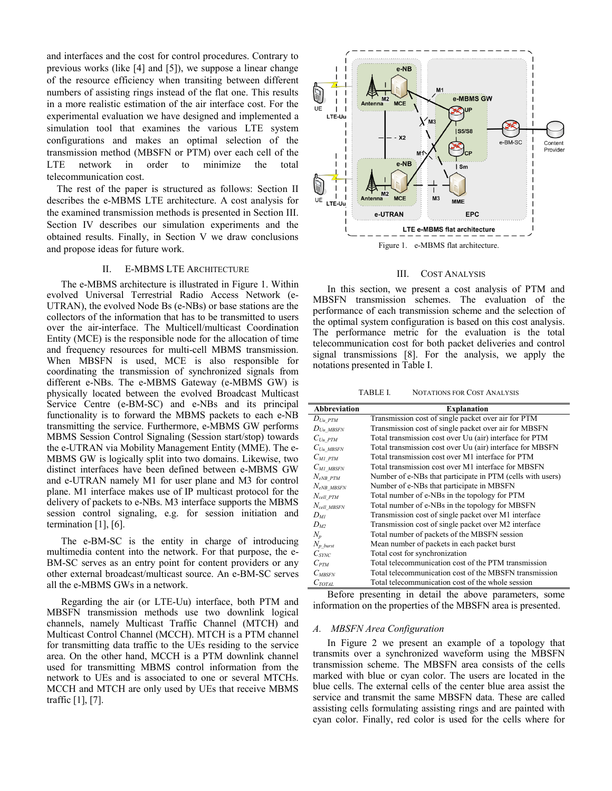and interfaces and the cost for control procedures. Contrary to previous works (like [4] and [5]), we suppose a linear change of the resource efficiency when transiting between different numbers of assisting rings instead of the flat one. This results in a more realistic estimation of the air interface cost. For the experimental evaluation we have designed and implemented a simulation tool that examines the various LTE system configurations and makes an optimal selection of the transmission method (MBSFN or PTM) over each cell of the LTE network in order to minimize the total telecommunication cost.

The rest of the paper is structured as follows: Section II describes the e-MBMS LTE architecture. A cost analysis for the examined transmission methods is presented in Section III. Section IV describes our simulation experiments and the obtained results. Finally, in Section V we draw conclusions and propose ideas for future work.

# II. E-MBMS LTE ARCHITECTURE

The e-MBMS architecture is illustrated in Figure 1. Within evolved Universal Terrestrial Radio Access Network (e-UTRAN), the evolved Node Bs (e-NBs) or base stations are the collectors of the information that has to be transmitted to users over the air-interface. The Multicell/multicast Coordination Entity (MCE) is the responsible node for the allocation of time and frequency resources for multi-cell MBMS transmission. When MBSFN is used, MCE is also responsible for coordinating the transmission of synchronized signals from different e-NBs. The e-MBMS Gateway (e-MBMS GW) is physically located between the evolved Broadcast Multicast Service Centre (e-BM-SC) and e-NBs and its principal functionality is to forward the MBMS packets to each e-NB transmitting the service. Furthermore, e-MBMS GW performs MBMS Session Control Signaling (Session start/stop) towards the e-UTRAN via Mobility Management Entity (MME). The e-MBMS GW is logically split into two domains. Likewise, two distinct interfaces have been defined between e-MBMS GW and e-UTRAN namely M1 for user plane and M3 for control plane. M1 interface makes use of IP multicast protocol for the delivery of packets to e-NBs. M3 interface supports the MBMS session control signaling, e.g. for session initiation and termination [1], [6].

The e-BM-SC is the entity in charge of introducing multimedia content into the network. For that purpose, the e-BM-SC serves as an entry point for content providers or any other external broadcast/multicast source. An e-BM-SC serves all the e-MBMS GWs in a network.

Regarding the air (or LTE-Uu) interface, both PTM and MBSFN transmission methods use two downlink logical channels, namely Multicast Traffic Channel (MTCH) and Multicast Control Channel (MCCH). MTCH is a PTM channel for transmitting data traffic to the UEs residing to the service area. On the other hand, MCCH is a PTM downlink channel used for transmitting MBMS control information from the network to UEs and is associated to one or several MTCHs. MCCH and MTCH are only used by UEs that receive MBMS traffic [1], [7].



# III. COST ANALYSIS

In this section, we present a cost analysis of PTM and MBSFN transmission schemes. The evaluation of the performance of each transmission scheme and the selection of the optimal system configuration is based on this cost analysis. The performance metric for the evaluation is the total telecommunication cost for both packet deliveries and control signal transmissions [8]. For the analysis, we apply the notations presented in Table I.

TABLE I. NOTATIONS FOR COST ANALYSIS

| Abbreviation           | <b>Explanation</b>                                         |  |  |
|------------------------|------------------------------------------------------------|--|--|
| $D_{Uu\ PTM}$          | Transmission cost of single packet over air for PTM        |  |  |
| $D_{Uu \; MBSFN}$      | Transmission cost of single packet over air for MBSFN      |  |  |
| $C_{Uu\ PTM}$          | Total transmission cost over Uu (air) interface for PTM    |  |  |
| $C_{Uu \; MBSFN}$      | Total transmission cost over Uu (air) interface for MBSFN  |  |  |
| $C_{MIPTM}$            | Total transmission cost over M1 interface for PTM          |  |  |
| $C_{MI$ MBSFN          | Total transmission cost over M1 interface for MBSFN        |  |  |
| $N_{eNB\_PTM}$         | Number of e-NBs that participate in PTM (cells with users) |  |  |
| N <sub>eNB</sub> MBSFN | Number of e-NBs that participate in MBSFN                  |  |  |
| $N_{cell\ PTM}$        | Total number of e-NBs in the topology for PTM              |  |  |
| $N_{cell$ MBSFN        | Total number of e-NBs in the topology for MBSFN            |  |  |
| $D_{MI}$               | Transmission cost of single packet over M1 interface       |  |  |
| $D_{M2}$               | Transmission cost of single packet over M2 interface       |  |  |
| $N_p$                  | Total number of packets of the MBSFN session               |  |  |
| $N_{p \text{ burst}}$  | Mean number of packets in each packet burst                |  |  |
| $C_{\text{SYNC}}$      | Total cost for synchronization                             |  |  |
| $C_{PTM}$              | Total telecommunication cost of the PTM transmission       |  |  |
| $C_{MBSEN}$            | Total telecommunication cost of the MBSFN transmission     |  |  |
| $C_{\text{TOTAL}}$     | Total telecommunication cost of the whole session          |  |  |

Before presenting in detail the above parameters, some information on the properties of the MBSFN area is presented.

## *A. MBSFN Area Configuration*

In Figure 2 we present an example of a topology that transmits over a synchronized waveform using the MBSFN transmission scheme. The MBSFN area consists of the cells marked with blue or cyan color. The users are located in the blue cells. The external cells of the center blue area assist the service and transmit the same MBSFN data. These are called assisting cells formulating assisting rings and are painted with cyan color. Finally, red color is used for the cells where for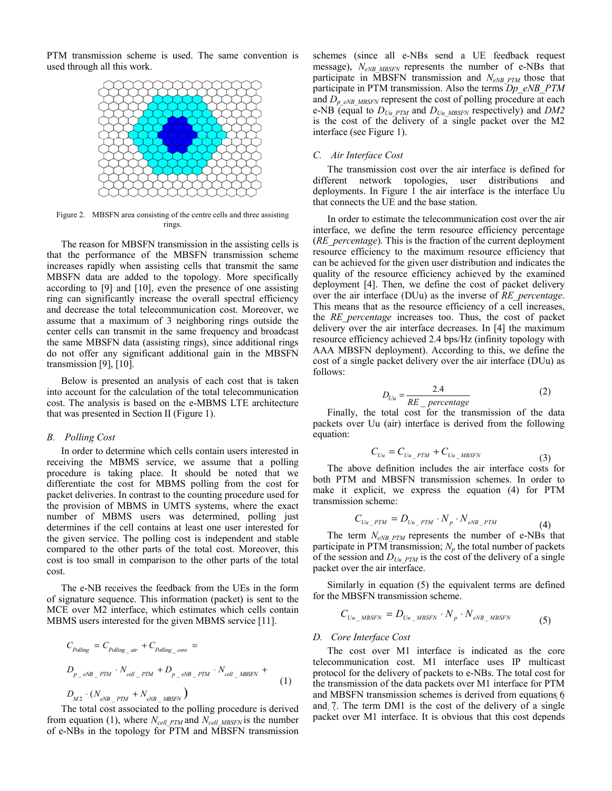PTM transmission scheme is used. The same convention is used through all this work.



Figure 2. MBSFN area consisting of the centre cells and three assisting rings.

The reason for MBSFN transmission in the assisting cells is that the performance of the MBSFN transmission scheme increases rapidly when assisting cells that transmit the same MBSFN data are added to the topology. More specifically according to [9] and [10], even the presence of one assisting ring can significantly increase the overall spectral efficiency and decrease the total telecommunication cost. Moreover, we assume that a maximum of 3 neighboring rings outside the center cells can transmit in the same frequency and broadcast the same MBSFN data (assisting rings), since additional rings do not offer any significant additional gain in the MBSFN transmission [9], [10].

Below is presented an analysis of each cost that is taken into account for the calculation of the total telecommunication cost. The analysis is based on the e-MBMS LTE architecture that was presented in Section II (Figure 1).

#### *B. Polling Cost*

In order to determine which cells contain users interested in receiving the MBMS service, we assume that a polling procedure is taking place. It should be noted that we differentiate the cost for MBMS polling from the cost for packet deliveries. In contrast to the counting procedure used for the provision of MBMS in UMTS systems, where the exact number of MBMS users was determined, polling just determines if the cell contains at least one user interested for the given service. The polling cost is independent and stable compared to the other parts of the total cost. Moreover, this cost is too small in comparison to the other parts of the total cost.

The e-NB receives the feedback from the UEs in the form of signature sequence. This information (packet) is sent to the MCE over M2 interface, which estimates which cells contain MBMS users interested for the given MBMS service [11].

$$
C_{Polling} = C_{Polling\_air} + C_{Polling\_core} =
$$
\n
$$
D_{p\_eNB\_PTM} \cdot N_{cell\_PTM} + D_{p\_eNB\_PTM} \cdot N_{cell\_MBSPN} +
$$
\n
$$
D_{M2} \cdot (N_{eNB\_PTM} + N_{eNB\_MBSPN})
$$
\n(1)

The total cost associated to the polling procedure is derived from equation (1), where  $N_{cell\ PTM}$  and  $N_{cell\ MBSFN}$  is the number of e-NBs in the topology for PTM and MBSFN transmission schemes (since all e-NBs send a UE feedback request message),  $N_{eNB-MBSFN}$  represents the number of e-NBs that participate in  $\overline{M}$ BSFN transmission and  $N_{eNB\ PTM}$  those that participate in PTM transmission. Also the terms *Dp\_eNB\_PTM* and  $D_{p\_eNB\_MBSFN}$  represent the cost of polling procedure at each e-NB (equal to *DUu\_PTM* and *DUu\_MBSFN* respectively) and *DM2* is the cost of the delivery of a single packet over the M2 interface (see Figure 1).

# *C. Air Interface Cost*

The transmission cost over the air interface is defined for different network topologies, user distributions and deployments. In Figure 1 the air interface is the interface Uu that connects the UE and the base station.

In order to estimate the telecommunication cost over the air interface, we define the term resource efficiency percentage (*RE\_percentage*). This is the fraction of the current deployment resource efficiency to the maximum resource efficiency that can be achieved for the given user distribution and indicates the quality of the resource efficiency achieved by the examined deployment [4]. Then, we define the cost of packet delivery over the air interface (DUu) as the inverse of *RE\_percentage*. This means that as the resource efficiency of a cell increases, the *RE\_percentage* increases too. Thus, the cost of packet delivery over the air interface decreases. In [4] the maximum resource efficiency achieved 2.4 bps/Hz (infinity topology with AAA MBSFN deployment). According to this, we define the cost of a single packet delivery over the air interface (DUu) as follows:

$$
D_{Uu} = \frac{2.4}{RE\ percentage}
$$
 (2)

Finally, the total cost for the transmission of the data packets over Uu (air) interface is derived from the following equation:

$$
C_{Uu} = C_{Uu_{-}PTM} + C_{Uu_{-}MBSFN}
$$
 (3)

The above definition includes the air interface costs for both PTM and MBSFN transmission schemes. In order to make it explicit, we express the equation (4) for PTM transmission scheme:

$$
C_{Uu_{-}PTM} = D_{Uu_{-}PTM} \cdot N_{p} \cdot N_{eNB_{-}PTM}
$$
 (4)

The term  $N_{eNB\ PTM}$  represents the number of e-NBs that participate in PTM transmission;  $N_p$  the total number of packets of the session and  $D_{Uu\ PTM}$  is the cost of the delivery of a single packet over the air interface.

Similarly in equation (5) the equivalent terms are defined for the MBSFN transmission scheme.

$$
C_{_{Uu\_MBSFN}} = D_{_{Uu\_MBSFN}} \cdot N_{p} \cdot N_{_{eNB\_MBSFN}}
$$
 (5)

#### *D. Core Interface Cost*

The cost over M1 interface is indicated as the core telecommunication cost. M1 interface uses IP multicast protocol for the delivery of packets to e-NBs. The total cost for the transmission of the data packets over M1 interface for PTM and MBSFN transmission schemes is derived from equations 6 and 7. The term DM1 is the cost of the delivery of a single packet over M1 interface. It is obvious that this cost depends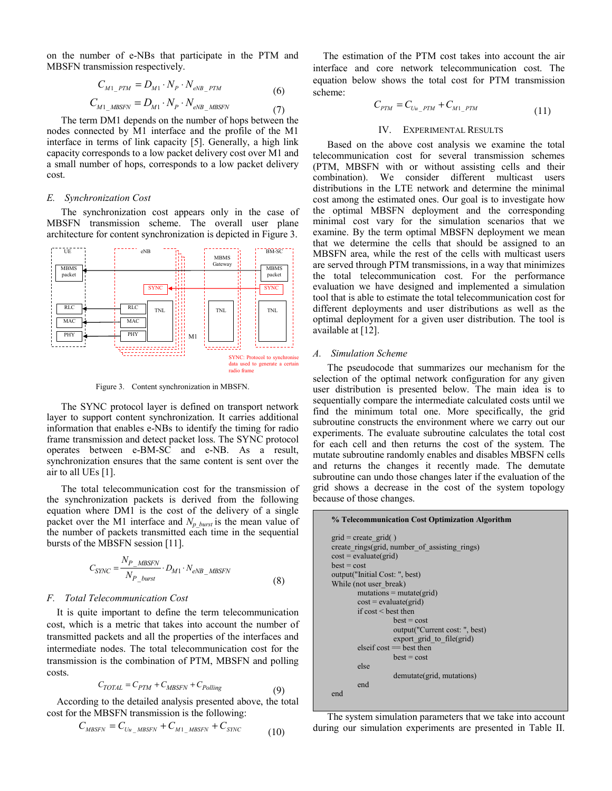on the number of e-NBs that participate in the PTM and MBSFN transmission respectively.

$$
C_{M1\_PTM} = D_{M1} \cdot N_P \cdot N_{eNB\_PTM}
$$
 (6)

$$
C_{M1\_MBSFN} = D_{M1} \cdot N_P \cdot N_{eNB\_MBSFN}
$$
\n<sup>(7)</sup>

The term DM1 depends on the number of hops between the nodes connected by M1 interface and the profile of the M1 interface in terms of link capacity [5]. Generally, a high link capacity corresponds to a low packet delivery cost over M1 and a small number of hops, corresponds to a low packet delivery cost.

# *E. Synchronization Cost*

The synchronization cost appears only in the case of MBSFN transmission scheme. The overall user plane architecture for content synchronization is depicted in Figure 3.



Figure 3. Content synchronization in MBSFN.

The SYNC protocol layer is defined on transport network layer to support content synchronization. It carries additional information that enables e-NBs to identify the timing for radio frame transmission and detect packet loss. The SYNC protocol operates between e-BM-SC and e-NB. As a result, synchronization ensures that the same content is sent over the air to all UEs [1].

The total telecommunication cost for the transmission of the synchronization packets is derived from the following equation where DM1 is the cost of the delivery of a single packet over the M1 interface and  $N_p$  burst is the mean value of the number of packets transmitted each time in the sequential bursts of the MBSFN session [11].

$$
C_{SYNC} = \frac{N_{P\_MBSFN}}{N_{P\_burst}} \cdot D_{M1} \cdot N_{eNB\_MBSFN}
$$
\n(8)

# *F. Total Telecommunication Cost*

It is quite important to define the term telecommunication cost, which is a metric that takes into account the number of transmitted packets and all the properties of the interfaces and intermediate nodes. The total telecommunication cost for the transmission is the combination of PTM, MBSFN and polling costs.

$$
C_{TOTAL} = C_{PTM} + C_{MBSFN} + C_{Polling}
$$
\n(9)

According to the detailed analysis presented above, the total cost for the MBSFN transmission is the following:

$$
C_{MBSFN} = C_{Uu_{-MBSFN}} + C_{M1_{-MBSFN}} + C_{SYNC}
$$
\n(10)

The estimation of the PTM cost takes into account the air interface and core network telecommunication cost. The equation below shows the total cost for PTM transmission scheme:

$$
C_{PTM} = C_{Uu_{-}PTM} + C_{M1_{-}PTM}
$$
\n(11)

## IV. EXPERIMENTAL RESULTS

Based on the above cost analysis we examine the total telecommunication cost for several transmission schemes (PTM, MBSFN with or without assisting cells and their combination). We consider different multicast users distributions in the LTE network and determine the minimal cost among the estimated ones. Our goal is to investigate how the optimal MBSFN deployment and the corresponding minimal cost vary for the simulation scenarios that we examine. By the term optimal MBSFN deployment we mean that we determine the cells that should be assigned to an MBSFN area, while the rest of the cells with multicast users are served through PTM transmissions, in a way that minimizes the total telecommunication cost. For the performance evaluation we have designed and implemented a simulation tool that is able to estimate the total telecommunication cost for different deployments and user distributions as well as the optimal deployment for a given user distribution. The tool is available at [12].

# *A. Simulation Scheme*

The pseudocode that summarizes our mechanism for the selection of the optimal network configuration for any given user distribution is presented below. The main idea is to sequentially compare the intermediate calculated costs until we find the minimum total one. More specifically, the grid subroutine constructs the environment where we carry out our experiments. The evaluate subroutine calculates the total cost for each cell and then returns the cost of the system. The mutate subroutine randomly enables and disables MBSFN cells and returns the changes it recently made. The demutate subroutine can undo those changes later if the evaluation of the grid shows a decrease in the cost of the system topology because of those changes.

## **% Telecommunication Cost Optimization Algorithm**

 $grid = create\ grid()$ create\_rings(grid, number\_of\_assisting\_rings)  $cost = evaluate(grid)$  $best = cost$ output("Initial Cost: ", best) While (not user break)  $mutations = mutate(grid)$  $cost = evaluate(grid)$  if cost < best then  $best = cost$  output("Current cost: ", best) export grid to file(grid) elseif cost == best then  $best = cost$  else demutate(grid, mutations) end end

The system simulation parameters that we take into account during our simulation experiments are presented in Table II.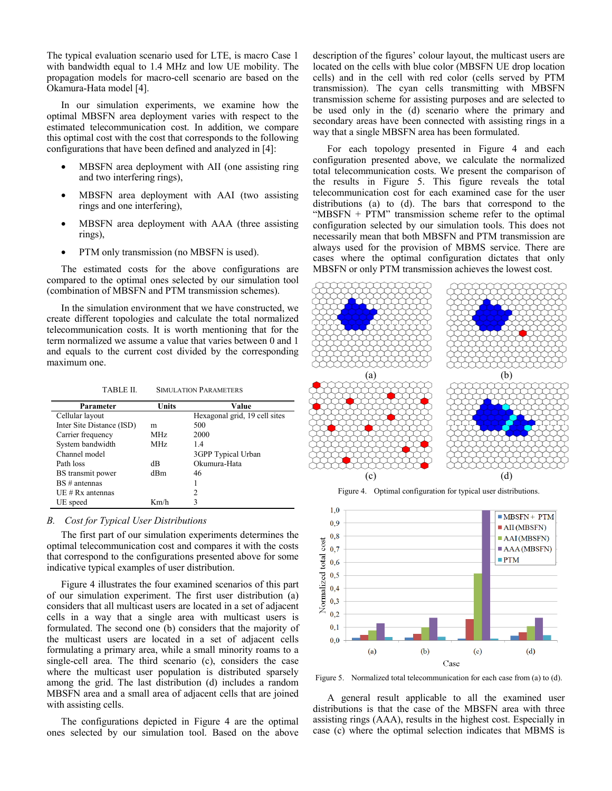The typical evaluation scenario used for LTE, is macro Case 1 with bandwidth equal to 1.4 MHz and low UE mobility. The propagation models for macro-cell scenario are based on the Okamura-Hata model [4].

In our simulation experiments, we examine how the optimal MBSFN area deployment varies with respect to the estimated telecommunication cost. In addition, we compare this optimal cost with the cost that corresponds to the following configurations that have been defined and analyzed in [4]:

- MBSFN area deployment with AII (one assisting ring and two interfering rings),
- MBSFN area deployment with AAI (two assisting rings and one interfering),
- MBSFN area deployment with AAA (three assisting rings),
- PTM only transmission (no MBSFN is used).

The estimated costs for the above configurations are compared to the optimal ones selected by our simulation tool (combination of MBSFN and PTM transmission schemes).

In the simulation environment that we have constructed, we create different topologies and calculate the total normalized telecommunication costs. It is worth mentioning that for the term normalized we assume a value that varies between 0 and 1 and equals to the current cost divided by the corresponding maximum one.

TABLE II. SIMULATION PARAMETERS

| Parameter                 | Units | Value                         |
|---------------------------|-------|-------------------------------|
| Cellular layout           |       | Hexagonal grid, 19 cell sites |
| Inter Site Distance (ISD) | m     | 500                           |
| Carrier frequency         | MHz   | 2000                          |
| System bandwidth          | MHz.  | 14                            |
| Channel model             |       | 3GPP Typical Urban            |
| Path loss                 | dВ    | Okumura-Hata                  |
| BS transmit power         | dBm   | 46                            |
| $BS \# antennas$          |       | 1                             |
| UE $# Rx$ antennas        |       | 2                             |
| UE speed                  | Km/h  | 3                             |

# *B. Cost for Typical User Distributions*

The first part of our simulation experiments determines the optimal telecommunication cost and compares it with the costs that correspond to the configurations presented above for some indicative typical examples of user distribution.

Figure 4 illustrates the four examined scenarios of this part of our simulation experiment. The first user distribution (a) considers that all multicast users are located in a set of adjacent cells in a way that a single area with multicast users is formulated. The second one (b) considers that the majority of the multicast users are located in a set of adjacent cells formulating a primary area, while a small minority roams to a single-cell area. The third scenario (c), considers the case where the multicast user population is distributed sparsely among the grid. The last distribution (d) includes a random MBSFN area and a small area of adjacent cells that are joined with assisting cells.

The configurations depicted in Figure 4 are the optimal ones selected by our simulation tool. Based on the above description of the figures' colour layout, the multicast users are located on the cells with blue color (MBSFN UE drop location cells) and in the cell with red color (cells served by PTM transmission). The cyan cells transmitting with MBSFN transmission scheme for assisting purposes and are selected to be used only in the (d) scenario where the primary and secondary areas have been connected with assisting rings in a way that a single MBSFN area has been formulated.

For each topology presented in Figure 4 and each configuration presented above, we calculate the normalized total telecommunication costs. We present the comparison of the results in Figure 5. This figure reveals the total telecommunication cost for each examined case for the user distributions (a) to (d). The bars that correspond to the "MBSFN + PTM" transmission scheme refer to the optimal configuration selected by our simulation tools. This does not necessarily mean that both MBSFN and PTM transmission are always used for the provision of MBMS service. There are cases where the optimal configuration dictates that only MBSFN or only PTM transmission achieves the lowest cost.



Figure 4. Optimal configuration for typical user distributions.



Figure 5. Normalized total telecommunication for each case from (a) to (d).

A general result applicable to all the examined user distributions is that the case of the MBSFN area with three assisting rings (AAA), results in the highest cost. Especially in case (c) where the optimal selection indicates that MBMS is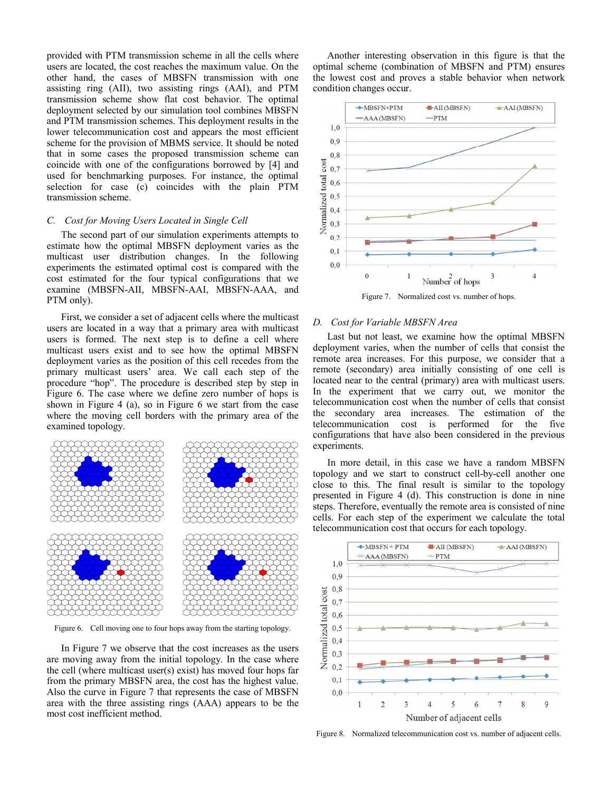provided with PTM transmission scheme in all the cells where users are located, the cost reaches the maximum value. On the other hand, the cases of MBSFN transmission with one assisting ring (AII), two assisting rings (AAI), and PTM transmission scheme show flat cost behavior. The optimal deployment selected by our simulation tool combines MBSFN and PTM transmission schemes. This deployment results in the lower telecommunication cost and appears the most efficient scheme for the provision of MBMS service. It should be noted that in some cases the proposed transmission scheme can coincide with one of the configurations borrowed by [4] and used for benchmarking purposes. For instance, the optimal selection for case (c) coincides with the plain PTM transmission scheme.

# *C. Cost for Moving Users Located in Single Cell*

The second part of our simulation experiments attempts to estimate how the optimal MBSFN deployment varies as the multicast user distribution changes. In the following experiments the estimated optimal cost is compared with the cost estimated for the four typical configurations that we examine (MBSFN-AII, MBSFN-AAI, MBSFN-AAA, and PTM only).

First, we consider a set of adjacent cells where the multicast users are located in a way that a primary area with multicast users is formed. The next step is to define a cell where multicast users exist and to see how the optimal MBSFN deployment varies as the position of this cell recedes from the primary multicast users' area. We call each step of the procedure "hop". The procedure is described step by step in Figure 6. The case where we define zero number of hops is shown in Figure 4 (a), so in Figure 6 we start from the case where the moving cell borders with the primary area of the examined topology.



Figure 6. Cell moving one to four hops away from the starting topology.

In Figure 7 we observe that the cost increases as the users are moving away from the initial topology. In the case where the cell (where multicast user(s) exist) has moved four hops far from the primary MBSFN area, the cost has the highest value. Also the curve in Figure 7 that represents the case of MBSFN area with the three assisting rings (AAA) appears to be the most cost inefficient method.

Another interesting observation in this figure is that the optimal scheme (combination of MBSFN and PTM) ensures the lowest cost and proves a stable behavior when network condition changes occur.



## *D. Cost for Variable MBSFN Area*

Last but not least, we examine how the optimal MBSFN deployment varies, when the number of cells that consist the remote area increases. For this purpose, we consider that a remote (secondary) area initially consisting of one cell is located near to the central (primary) area with multicast users. In the experiment that we carry out, we monitor the telecommunication cost when the number of cells that consist the secondary area increases. The estimation of the telecommunication cost is performed for the five configurations that have also been considered in the previous experiments.

In more detail, in this case we have a random MBSFN topology and we start to construct cell-by-cell another one close to this. The final result is similar to the topology presented in Figure 4 (d). This construction is done in nine steps. Therefore, eventually the remote area is consisted of nine cells. For each step of the experiment we calculate the total telecommunication cost that occurs for each topology.



Figure 8. Normalized telecommunication cost vs. number of adjacent cells.